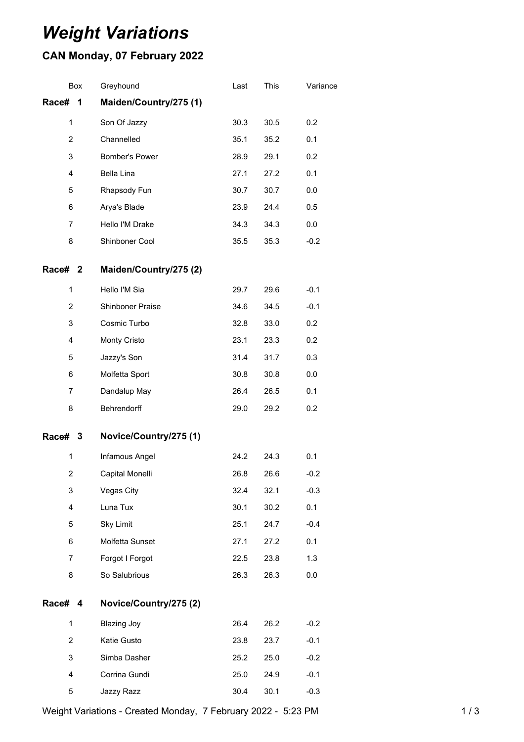## *Weight Variations*

## **CAN Monday, 07 February 2022**

| Box                              | Greyhound              | Last | This | Variance |
|----------------------------------|------------------------|------|------|----------|
| Race#<br>$\overline{\mathbf{1}}$ | Maiden/Country/275 (1) |      |      |          |
| $\mathbf{1}$                     | Son Of Jazzy           | 30.3 | 30.5 | 0.2      |
| 2                                | Channelled             | 35.1 | 35.2 | 0.1      |
| 3                                | Bomber's Power         | 28.9 | 29.1 | 0.2      |
| 4                                | Bella Lina             | 27.1 | 27.2 | 0.1      |
| 5                                | Rhapsody Fun           | 30.7 | 30.7 | 0.0      |
| 6                                | Arya's Blade           | 23.9 | 24.4 | 0.5      |
| 7                                | Hello I'M Drake        | 34.3 | 34.3 | 0.0      |
| 8                                | Shinboner Cool         | 35.5 | 35.3 | $-0.2$   |
| Race# 2                          | Maiden/Country/275 (2) |      |      |          |
| 1                                | Hello I'M Sia          | 29.7 | 29.6 | $-0.1$   |
| $\overline{2}$                   | Shinboner Praise       | 34.6 | 34.5 | $-0.1$   |
| 3                                | Cosmic Turbo           | 32.8 | 33.0 | 0.2      |
| 4                                | Monty Cristo           | 23.1 | 23.3 | 0.2      |
| 5                                | Jazzy's Son            | 31.4 | 31.7 | 0.3      |
| 6                                | Molfetta Sport         | 30.8 | 30.8 | 0.0      |
| 7                                | Dandalup May           | 26.4 | 26.5 | 0.1      |
| 8                                | Behrendorff            | 29.0 | 29.2 | 0.2      |
| Race# 3                          | Novice/Country/275 (1) |      |      |          |
| $\mathbf{1}$                     | Infamous Angel         | 24.2 | 24.3 | 0.1      |
| $\overline{2}$                   | Capital Monelli        | 26.8 | 26.6 | $-0.2$   |
| 3                                | Vegas City             | 32.4 | 32.1 | $-0.3$   |
| 4                                | Luna Tux               | 30.1 | 30.2 | 0.1      |
| 5                                | <b>Sky Limit</b>       | 25.1 | 24.7 | $-0.4$   |
| 6                                | Molfetta Sunset        | 27.1 | 27.2 | 0.1      |
| $\overline{7}$                   | Forgot I Forgot        | 22.5 | 23.8 | 1.3      |
| 8                                | So Salubrious          | 26.3 | 26.3 | 0.0      |
| Race# 4                          | Novice/Country/275 (2) |      |      |          |
| $\mathbf{1}$                     | <b>Blazing Joy</b>     | 26.4 | 26.2 | $-0.2$   |
| $\overline{2}$                   | Katie Gusto            | 23.8 | 23.7 | $-0.1$   |
| 3                                | Simba Dasher           | 25.2 | 25.0 | $-0.2$   |
| 4                                | Corrina Gundi          | 25.0 | 24.9 | $-0.1$   |
| 5                                | Jazzy Razz             | 30.4 | 30.1 | $-0.3$   |

Weight Variations - Created Monday, 7 February 2022 - 5:23 PM 1 / 3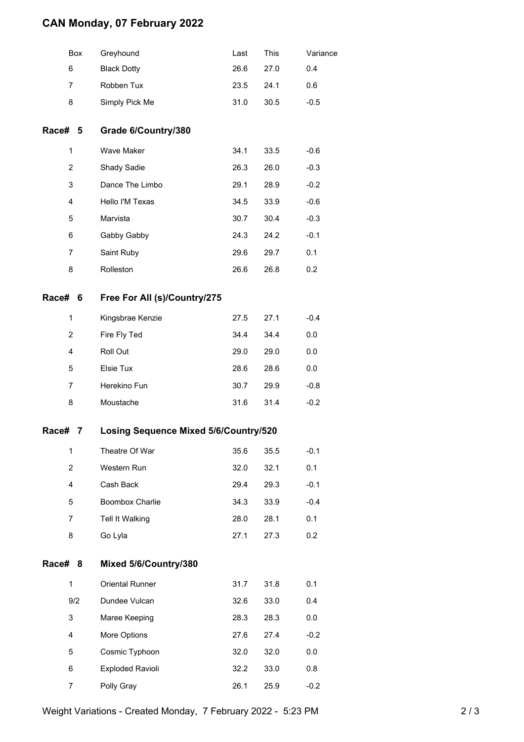## **CAN Monday, 07 February 2022**

|         | Box                                               | Greyhound                    | Last | <b>This</b> | Variance |  |
|---------|---------------------------------------------------|------------------------------|------|-------------|----------|--|
|         | 6                                                 | <b>Black Dotty</b>           | 26.6 | 27.0        | 0.4      |  |
|         | 7                                                 | Robben Tux                   | 23.5 | 24.1        | 0.6      |  |
|         | 8                                                 | Simply Pick Me               | 31.0 | 30.5        | $-0.5$   |  |
| Race# 5 |                                                   | Grade 6/Country/380          |      |             |          |  |
|         | 1                                                 | Wave Maker                   | 34.1 | 33.5        | $-0.6$   |  |
|         | 2                                                 | Shady Sadie                  | 26.3 | 26.0        | $-0.3$   |  |
|         | 3                                                 | Dance The Limbo              | 29.1 | 28.9        | $-0.2$   |  |
|         | 4                                                 | Hello I'M Texas              | 34.5 | 33.9        | $-0.6$   |  |
|         | 5                                                 | Marvista                     | 30.7 | 30.4        | $-0.3$   |  |
|         | 6                                                 | Gabby Gabby                  | 24.3 | 24.2        | $-0.1$   |  |
|         | 7                                                 | Saint Ruby                   | 29.6 | 29.7        | 0.1      |  |
|         | 8                                                 | Rolleston                    | 26.6 | 26.8        | 0.2      |  |
| Race# 6 |                                                   | Free For All (s)/Country/275 |      |             |          |  |
|         | 1                                                 | Kingsbrae Kenzie             | 27.5 | 27.1        | $-0.4$   |  |
|         | 2                                                 | Fire Fly Ted                 | 34.4 | 34.4        | 0.0      |  |
|         | 4                                                 | Roll Out                     | 29.0 | 29.0        | 0.0      |  |
|         | 5                                                 | Elsie Tux                    | 28.6 | 28.6        | 0.0      |  |
|         | 7                                                 | Herekino Fun                 | 30.7 | 29.9        | $-0.8$   |  |
|         | 8                                                 | Moustache                    | 31.6 | 31.4        | $-0.2$   |  |
| Race#   | <b>Losing Sequence Mixed 5/6/Country/520</b><br>7 |                              |      |             |          |  |
|         | 1                                                 | Theatre Of War               | 35.6 | 35.5        | $-0.1$   |  |
|         | $\overline{c}$                                    | Western Run                  | 32.0 | 32.1        | 0.1      |  |
|         | 4                                                 | Cash Back                    | 29.4 | 29.3        | $-0.1$   |  |
|         | 5                                                 | Boombox Charlie              | 34.3 | 33.9        | $-0.4$   |  |
|         | 7                                                 | Tell It Walking              | 28.0 | 28.1        | 0.1      |  |
|         | 8                                                 | Go Lyla                      | 27.1 | 27.3        | 0.2      |  |
| Race#   | 8                                                 | Mixed 5/6/Country/380        |      |             |          |  |
|         | 1                                                 | Oriental Runner              | 31.7 | 31.8        | 0.1      |  |
|         | 9/2                                               | Dundee Vulcan                | 32.6 | 33.0        | 0.4      |  |
|         | 3                                                 | Maree Keeping                | 28.3 | 28.3        | 0.0      |  |
|         | 4                                                 | More Options                 | 27.6 | 27.4        | $-0.2$   |  |
|         | 5                                                 | Cosmic Typhoon               | 32.0 | 32.0        | 0.0      |  |
|         | 6                                                 | <b>Exploded Ravioli</b>      | 32.2 | 33.0        | 0.8      |  |
|         | 7                                                 | Polly Gray                   | 26.1 | 25.9        | $-0.2$   |  |